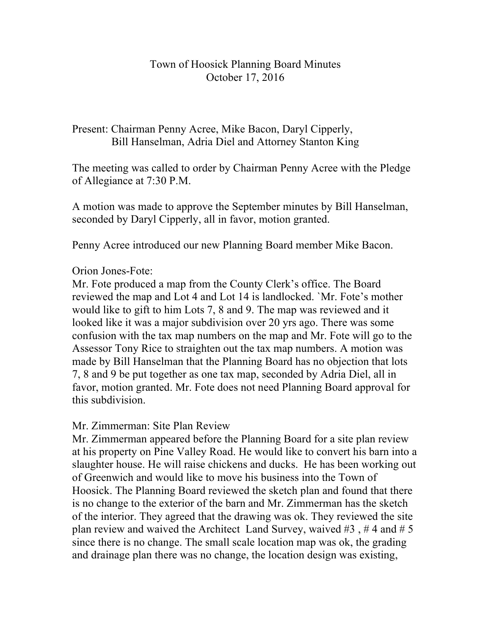## Town of Hoosick Planning Board Minutes October 17, 2016

Present: Chairman Penny Acree, Mike Bacon, Daryl Cipperly, Bill Hanselman, Adria Diel and Attorney Stanton King

The meeting was called to order by Chairman Penny Acree with the Pledge of Allegiance at 7:30 P.M.

A motion was made to approve the September minutes by Bill Hanselman, seconded by Daryl Cipperly, all in favor, motion granted.

Penny Acree introduced our new Planning Board member Mike Bacon.

## Orion Jones-Fote:

Mr. Fote produced a map from the County Clerk's office. The Board reviewed the map and Lot 4 and Lot 14 is landlocked. `Mr. Fote's mother would like to gift to him Lots 7, 8 and 9. The map was reviewed and it looked like it was a major subdivision over 20 yrs ago. There was some confusion with the tax map numbers on the map and Mr. Fote will go to the Assessor Tony Rice to straighten out the tax map numbers. A motion was made by Bill Hanselman that the Planning Board has no objection that lots 7, 8 and 9 be put together as one tax map, seconded by Adria Diel, all in favor, motion granted. Mr. Fote does not need Planning Board approval for this subdivision.

## Mr. Zimmerman: Site Plan Review

Mr. Zimmerman appeared before the Planning Board for a site plan review at his property on Pine Valley Road. He would like to convert his barn into a slaughter house. He will raise chickens and ducks. He has been working out of Greenwich and would like to move his business into the Town of Hoosick. The Planning Board reviewed the sketch plan and found that there is no change to the exterior of the barn and Mr. Zimmerman has the sketch of the interior. They agreed that the drawing was ok. They reviewed the site plan review and waived the Architect Land Survey, waived  $#3$ ,  $#4$  and  $#5$ since there is no change. The small scale location map was ok, the grading and drainage plan there was no change, the location design was existing,